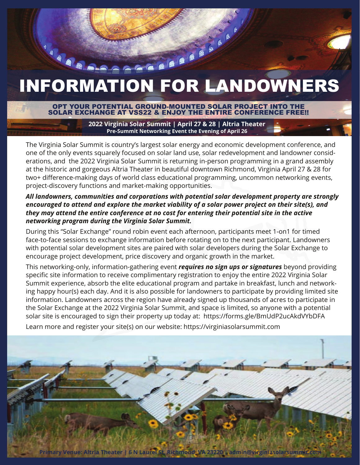# INFORMATION FOR LANDOWNERS

### OPT YOUR POTENTIAL GROUND-MOUNTED SOLAR PROJECT INTO THE SOLAR EXCHANGE AT VSS22 & ENJOY THE ENTIRE CONFERENCE FREE!!

**2022 Virginia Solar Summit | April 27 & 28 | Altria Theater Pre-Summit Networking Event the Evening of April 26**

The Virginia Solar Summit is country's largest solar energy and economic development conference, and one of the only events squarely focused on solar land use, solar redevelopment and landowner considerations, and the 2022 Virginia Solar Summit is returning in-person programming in a grand assembly at the historic and gorgeous Altria Theater in beautiful downtown Richmond, Virginia April 27 & 28 for two+ difference-making days of world class educational programming, uncommon networking events, project-discovery functions and market-making opportunities.

### *All landowners, communities and corporations with potential solar development property are strongly encouraged to attend and explore the market viability of a solar power project on their site(s), and they may attend the entire conference at no cost for entering their potential site in the active networking program during the Virginia Solar Summit.*

During this "Solar Exchange" round robin event each afternoon, participants meet 1-on1 for timed face-to-face sessions to exchange information before rotating on to the next participant. Landowners with potential solar development sites are paired with solar developers during the Solar Exchange to encourage project development, price discovery and organic growth in the market.

This networking-only, information-gathering event *requires no sign ups or signatures* beyond providing specific site information to receive complimentary registration to enjoy the entire 2022 Virginia Solar Summit experience, absorb the elite educational program and partake in breakfast, lunch and networking happy hour(s) each day. And it is also possible for landowners to participate by providing limited site information. Landowners across the region have already signed up thousands of acres to participate in the Solar Exchange at the 2022 Virginia Solar Summit, and space is limited, so anyone with a potential solar site is encouraged to sign their property up today at: https://forms.gle/BmUdP2ucAkdVYbDFA

Learn more and register your site(s) on our website: https://virginiasolarsummit.com

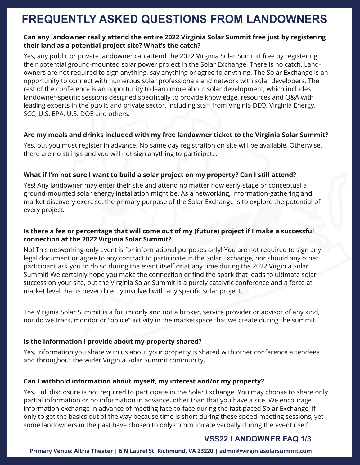# **FREQUENTLY ASKED QUESTIONS FROM LANDOWNERS**

### **Can any landowner really attend the entire 2022 Virginia Solar Summit free just by registering their land as a potential project site? What's the catch?**

Yes, any public or private landowner can attend the 2022 Virginia Solar Summit free by registering their potential ground-mounted solar power project in the Solar Exchange! There is no catch. Landowners are not required to sign anything, say anything or agree to anything. The Solar Exchange is an opportunity to connect with numerous solar professionals and network with solar developers. The rest of the conference is an opportunity to learn more about solar development, which includes landowner-specific sessions designed specifically to provide knowledge, resources and Q&A with leading experts in the public and private sector, including staff from Virginia DEQ, Virginia Energy, SCC, U.S. EPA. U.S. DOE and others.

### **Are my meals and drinks included with my free landowner ticket to the Virginia Solar Summit?**

Yes, but you must register in advance. No same day registration on site will be available. Otherwise, there are no strings and you will not sign anything to participate.

### **What if I'm not sure I want to build a solar project on my property? Can I still attend?**

Yes! Any landowner may enter their site and attend no matter how early-stage or conceptual a ground-mounted solar energy installation might be. As a networking, information-gathering and market discovery exercise, the primary purpose of the Solar Exchange is to explore the potential of every project.

### **Is there a fee or percentage that will come out of my (future) project if I make a successful connection at the 2022 Virginia Solar Summit?**

No! This networking-only event is for informational purposes only! You are not required to sign any legal document or agree to any contract to participate in the Solar Exchange, nor should any other participant ask you to do so during the event itself or at any time during the 2022 Virginia Solar Summit! We certainly hope you make the connection or find the spark that leads to ultimate solar success on your site, but the Virginia Solar Summit is a purely catalytic conference and a force at market level that is never directly involved with any specific solar project.

The Virginia Solar Summit is a forum only and not a broker, service provider or advisor of any kind, nor do we track, monitor or "police" activity in the marketspace that we create during the summit.

### **Is the information I provide about my property shared?**

Yes. Information you share with us about your property is shared with other conference attendees and throughout the wider Virginia Solar Summit community.

### **Can I withhold information about myself, my interest and/or my property?**

Yes. Full disclosure is not required to participate in the Solar Exchange. You may choose to share only partial information or no information in advance, other than that you have a site. We encourage information exchange in advance of meeting face-to-face during the fast-paced Solar Exchange, if only to get the basics out of the way because time is short during these speed-meeting sessions, yet some landowners in the past have chosen to only communicate verbally during the event itself.

## **VSS22 LANDOWNER FAQ 1/3**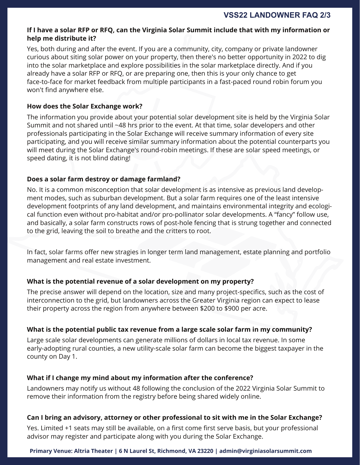### **If I have a solar RFP or RFQ, can the Virginia Solar Summit include that with my information or help me distribute it?**

Yes, both during and after the event. If you are a community, city, company or private landowner curious about siting solar power on your property, then there's no better opportunity in 2022 to dig into the solar marketplace and explore possibilities in the solar marketplace directly. And if you already have a solar RFP or RFQ, or are preparing one, then this is your only chance to get face-to-face for market feedback from multiple participants in a fast-paced round robin forum you won't find anywhere else.

### **How does the Solar Exchange work?**

The information you provide about your potential solar development site is held by the Virginia Solar Summit and not shared until ~48 hrs prior to the event. At that time, solar developers and other professionals participating in the Solar Exchange will receive summary information of every site participating, and you will receive similar summary information about the potential counterparts you will meet during the Solar Exchange's round-robin meetings. If these are solar speed meetings, or speed dating, it is not blind dating!

### **Does a solar farm destroy or damage farmland?**

No. It is a common misconception that solar development is as intensive as previous land development modes, such as suburban development. But a solar farm requires one of the least intensive development footprints of any land development, and maintains environmental integrity and ecological function even without pro-habitat and/or pro-pollinator solar developments. A "fancy" follow use, and basically, a solar farm constructs rows of post-hole fencing that is strung together and connected to the grid, leaving the soil to breathe and the critters to root.

In fact, solar farms offer new stragies in longer term land management, estate planning and portfolio management and real estate investment.

### **What is the potential revenue of a solar development on my property?**

The precise answer will depend on the location, size and many project-specifics, such as the cost of interconnection to the grid, but landowners across the Greater Virginia region can expect to lease their property across the region from anywhere between \$200 to \$900 per acre.

### **What is the potential public tax revenue from a large scale solar farm in my community?**

Large scale solar developments can generate millions of dollars in local tax revenue. In some early-adopting rural counties, a new utility-scale solar farm can become the biggest taxpayer in the county on Day 1.

### **What if I change my mind about my information after the conference?**

Landowners may notify us without 48 following the conclusion of the 2022 Virginia Solar Summit to remove their information from the registry before being shared widely online.

### **Can I bring an advisory, attorney or other professional to sit with me in the Solar Exchange?**

Yes. Limited +1 seats may still be available, on a first come first serve basis, but your professional advisor may register and participate along with you during the Solar Exchange.

### **Primary Venue: Altria Theater | 6 N Laurel St, Richmond, VA 23220 | admin@virginiasolarsummit.com**